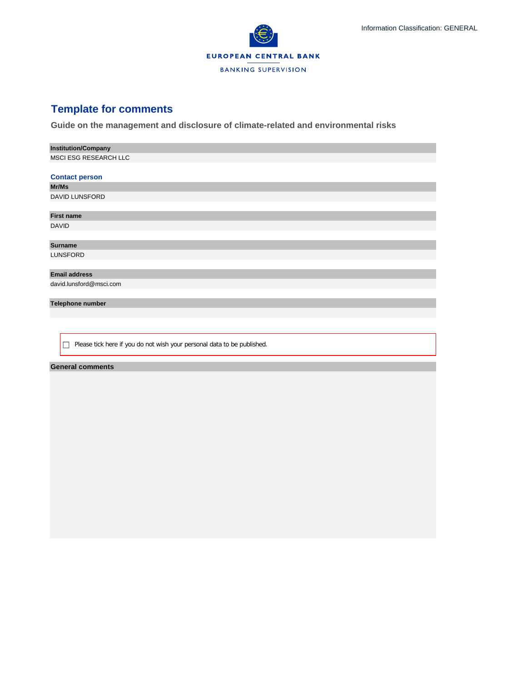

## **Template for comments**

**Guide on the management and disclosure of climate-related and environmental risks**

| <b>Institution/Company</b>                                                   |
|------------------------------------------------------------------------------|
| MSCI ESG RESEARCH LLC                                                        |
|                                                                              |
| <b>Contact person</b>                                                        |
| Mr/Ms                                                                        |
| <b>DAVID LUNSFORD</b>                                                        |
|                                                                              |
| <b>First name</b>                                                            |
| <b>DAVID</b>                                                                 |
|                                                                              |
| <b>Surname</b>                                                               |
| <b>LUNSFORD</b>                                                              |
|                                                                              |
| <b>Email address</b>                                                         |
| david.lunsford@msci.com                                                      |
|                                                                              |
| Telephone number                                                             |
|                                                                              |
|                                                                              |
|                                                                              |
| Please tick here if you do not wish your personal data to be published.<br>□ |

## **General comments**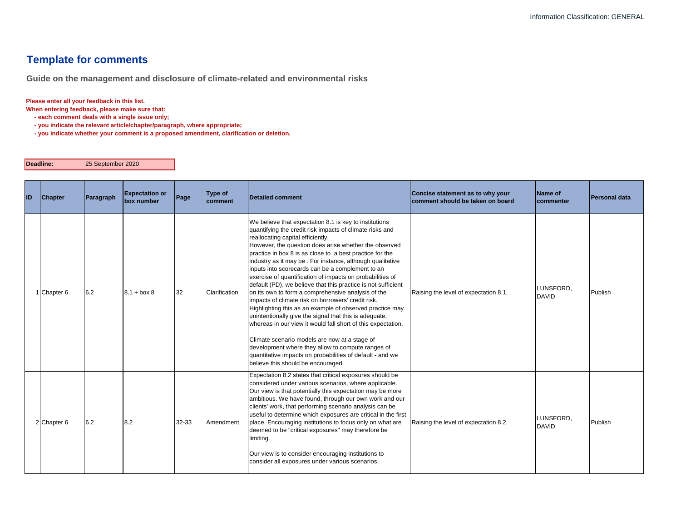## **Template for comments**

**Guide on the management and disclosure of climate-related and environmental risks**

## **Please enter all your feedback in this list.**

**When entering feedback, please make sure that:** 

 **- each comment deals with a single issue only;**

 **- you indicate the relevant article/chapter/paragraph, where appropriate;**

 **- you indicate whether your comment is a proposed amendment, clarification or deletion.**

**Deadline:** 25 September 2020

| ID | <b>Chapter</b> | Paragraph | <b>Expectation or</b><br>box number | Page  | <b>Type of</b><br>comment | Detailed comment                                                                                                                                                                                                                                                                                                                                                                                                                                                                                                                                                                                                                                                                                                                                                                                                                                                                                                                                                                                                                       | Concise statement as to why your<br>comment should be taken on board | Name of<br>commenter      | <b>Personal data</b> |
|----|----------------|-----------|-------------------------------------|-------|---------------------------|----------------------------------------------------------------------------------------------------------------------------------------------------------------------------------------------------------------------------------------------------------------------------------------------------------------------------------------------------------------------------------------------------------------------------------------------------------------------------------------------------------------------------------------------------------------------------------------------------------------------------------------------------------------------------------------------------------------------------------------------------------------------------------------------------------------------------------------------------------------------------------------------------------------------------------------------------------------------------------------------------------------------------------------|----------------------------------------------------------------------|---------------------------|----------------------|
|    | 1 Chapter 6    | 6.2       | $8.1 + box 8$                       | 32    | Clarification             | We believe that expectation 8.1 is key to institutions<br>quantifying the credit risk impacts of climate risks and<br>reallocating capital efficiently.<br>However, the question does arise whether the observed<br>practice in box 8 is as close to a best practice for the<br>industry as it may be. For instance, although qualitative<br>inputs into scorecards can be a complement to an<br>exercise of quantification of impacts on probabilities of<br>default (PD), we believe that this practice is not sufficient<br>on its own to form a comprehensive analysis of the<br>impacts of climate risk on borrowers' credit risk.<br>Highlighting this as an example of observed practice may<br>unintentionally give the signal that this is adequate,<br>whereas in our view it would fall short of this expectation.<br>Climate scenario models are now at a stage of<br>development where they allow to compute ranges of<br>quantitative impacts on probabilities of default - and we<br>believe this should be encouraged. | Raising the level of expectation 8.1.                                | LUNSFORD.<br><b>DAVID</b> | Publish              |
|    | 2 Chapter 6    | 6.2       | 8.2                                 | 32-33 | Amendment                 | Expectation 8.2 states that critical exposures should be<br>considered under various scenarios, where applicable.<br>Our view is that potentially this expectation may be more<br>ambitious. We have found, through our own work and our<br>clients' work, that performing scenario analysis can be<br>useful to determine which exposures are critical in the first<br>place. Encouraging institutions to focus only on what are<br>deemed to be "critical exposures" may therefore be<br>limiting.<br>Our view is to consider encouraging institutions to<br>consider all exposures under various scenarios.                                                                                                                                                                                                                                                                                                                                                                                                                         | Raising the level of expectation 8.2.                                | LUNSFORD,<br><b>DAVID</b> | Publish              |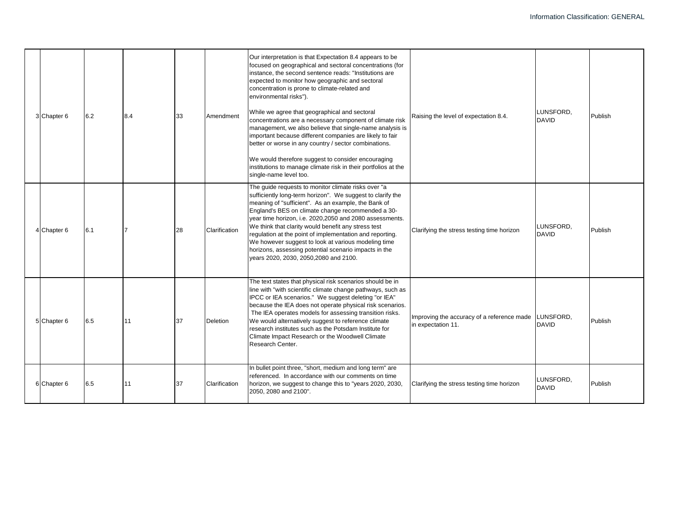| 3 Chapter 6 | 6.2 | 8.4 | 33 | Amendment     | Our interpretation is that Expectation 8.4 appears to be<br>focused on geographical and sectoral concentrations (for<br>instance, the second sentence reads: "Institutions are<br>expected to monitor how geographic and sectoral<br>concentration is prone to climate-related and<br>environmental risks").<br>While we agree that geographical and sectoral<br>concentrations are a necessary component of climate risk<br>management, we also believe that single-name analysis is<br>important because different companies are likely to fair<br>better or worse in any country / sector combinations.<br>We would therefore suggest to consider encouraging<br>institutions to manage climate risk in their portfolios at the<br>single-name level too. | Raising the level of expectation 8.4.                            | LUNSFORD.<br><b>DAVID</b> | Publish |
|-------------|-----|-----|----|---------------|--------------------------------------------------------------------------------------------------------------------------------------------------------------------------------------------------------------------------------------------------------------------------------------------------------------------------------------------------------------------------------------------------------------------------------------------------------------------------------------------------------------------------------------------------------------------------------------------------------------------------------------------------------------------------------------------------------------------------------------------------------------|------------------------------------------------------------------|---------------------------|---------|
| 4 Chapter 6 | 6.1 |     | 28 | Clarification | The guide requests to monitor climate risks over "a<br>sufficiently long-term horizon". We suggest to clarify the<br>meaning of "sufficient". As an example, the Bank of<br>England's BES on climate change recommended a 30-<br>year time horizon, i.e. 2020,2050 and 2080 assessments.<br>We think that clarity would benefit any stress test<br>regulation at the point of implementation and reporting.<br>We however suggest to look at various modeling time<br>horizons, assessing potential scenario impacts in the<br>years 2020, 2030, 2050, 2080 and 2100.                                                                                                                                                                                        | Clarifying the stress testing time horizon                       | LUNSFORD,<br><b>DAVID</b> | Publish |
| 5 Chapter 6 | 6.5 | 11  | 37 | Deletion      | The text states that physical risk scenarios should be in<br>line with "with scientific climate change pathways, such as<br>IPCC or IEA scenarios." We suggest deleting "or IEA"<br>because the IEA does not operate physical risk scenarios.<br>The IEA operates models for assessing transition risks.<br>We would alternatively suggest to reference climate<br>research institutes such as the Potsdam Institute for<br>Climate Impact Research or the Woodwell Climate<br>Research Center.                                                                                                                                                                                                                                                              | Improving the accuracy of a reference made<br>in expectation 11. | LUNSFORD,<br><b>DAVID</b> | Publish |
| 6 Chapter 6 | 6.5 | 11  | 37 | Clarification | In bullet point three, "short, medium and long term" are<br>referenced. In accordance with our comments on time<br>horizon, we suggest to change this to "years 2020, 2030,<br>2050, 2080 and 2100".                                                                                                                                                                                                                                                                                                                                                                                                                                                                                                                                                         | Clarifying the stress testing time horizon                       | LUNSFORD,<br><b>DAVID</b> | Publish |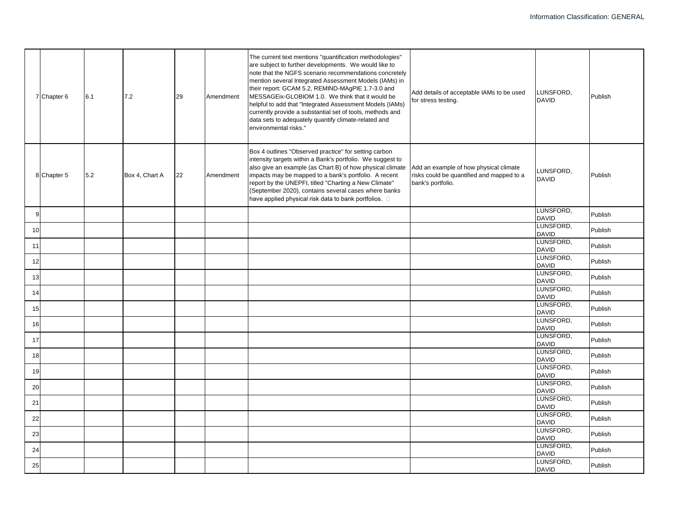|    | 7 Chapter 6 | 6.1 | 7.2            | 29 | Amendment | The current text mentions "quantification methodologies"<br>are subject to further developments. We would like to<br>note that the NGFS scenario recommendations concretely<br>mention several Integrated Assessment Models (IAMs) in<br>their report: GCAM 5.2, REMIND-MAgPIE 1.7-3.0 and<br>MESSAGEix-GLOBIOM 1.0. We think that it would be<br>helpful to add that "Integrated Assessment Models (IAMs)<br>currently provide a substantial set of tools, methods and<br>data sets to adequately quantify climate-related and<br>environmental risks." | Add details of acceptable IAMs to be used<br>for stress testing.                                         | LUNSFORD,<br><b>DAVID</b>                 | Publish |
|----|-------------|-----|----------------|----|-----------|----------------------------------------------------------------------------------------------------------------------------------------------------------------------------------------------------------------------------------------------------------------------------------------------------------------------------------------------------------------------------------------------------------------------------------------------------------------------------------------------------------------------------------------------------------|----------------------------------------------------------------------------------------------------------|-------------------------------------------|---------|
|    | 8 Chapter 5 | 5.2 | Box 4, Chart A | 22 | Amendment | Box 4 outlines "Observed practice" for setting carbon<br>intensity targets within a Bank's portfolio. We suggest to<br>also give an example (as Chart B) of how physical climate<br>impacts may be mapped to a bank's portfolio. A recent<br>report by the UNEPFI, titled "Charting a New Climate"<br>(September 2020), contains several cases where banks<br>have applied physical risk data to bank portfolios. $\square$                                                                                                                              | Add an example of how physical climate<br>risks could be quantified and mapped to a<br>bank's portfolio. | LUNSFORD.<br><b>DAVID</b>                 | Publish |
| 9  |             |     |                |    |           |                                                                                                                                                                                                                                                                                                                                                                                                                                                                                                                                                          |                                                                                                          | LUNSFORD,<br><b>DAVID</b>                 | Publish |
| 10 |             |     |                |    |           |                                                                                                                                                                                                                                                                                                                                                                                                                                                                                                                                                          |                                                                                                          | LUNSFORD,<br><b>DAVID</b>                 | Publish |
| 11 |             |     |                |    |           |                                                                                                                                                                                                                                                                                                                                                                                                                                                                                                                                                          |                                                                                                          | LUNSFORD,<br><b>DAVID</b>                 | Publish |
| 12 |             |     |                |    |           |                                                                                                                                                                                                                                                                                                                                                                                                                                                                                                                                                          |                                                                                                          | LUNSFORD,<br><b>DAVID</b>                 | Publish |
| 13 |             |     |                |    |           |                                                                                                                                                                                                                                                                                                                                                                                                                                                                                                                                                          |                                                                                                          | LUNSFORD,<br><b>DAVID</b>                 | Publish |
| 14 |             |     |                |    |           |                                                                                                                                                                                                                                                                                                                                                                                                                                                                                                                                                          |                                                                                                          | LUNSFORD,<br><b>DAVID</b>                 | Publish |
| 15 |             |     |                |    |           |                                                                                                                                                                                                                                                                                                                                                                                                                                                                                                                                                          |                                                                                                          | LUNSFORD,                                 | Publish |
| 16 |             |     |                |    |           |                                                                                                                                                                                                                                                                                                                                                                                                                                                                                                                                                          |                                                                                                          | <b>DAVID</b><br>LUNSFORD,<br><b>DAVID</b> | Publish |
| 17 |             |     |                |    |           |                                                                                                                                                                                                                                                                                                                                                                                                                                                                                                                                                          |                                                                                                          | LUNSFORD,                                 | Publish |
| 18 |             |     |                |    |           |                                                                                                                                                                                                                                                                                                                                                                                                                                                                                                                                                          |                                                                                                          | <b>DAVID</b><br>LUNSFORD,                 | Publish |
| 19 |             |     |                |    |           |                                                                                                                                                                                                                                                                                                                                                                                                                                                                                                                                                          |                                                                                                          | <b>DAVID</b><br>LUNSFORD,                 | Publish |
| 20 |             |     |                |    |           |                                                                                                                                                                                                                                                                                                                                                                                                                                                                                                                                                          |                                                                                                          | <b>DAVID</b><br>LUNSFORD,                 | Publish |
| 21 |             |     |                |    |           |                                                                                                                                                                                                                                                                                                                                                                                                                                                                                                                                                          |                                                                                                          | <b>DAVID</b><br>LUNSFORD,                 | Publish |
|    |             |     |                |    |           |                                                                                                                                                                                                                                                                                                                                                                                                                                                                                                                                                          |                                                                                                          | <b>DAVID</b><br>LUNSFORD,                 |         |
| 22 |             |     |                |    |           |                                                                                                                                                                                                                                                                                                                                                                                                                                                                                                                                                          |                                                                                                          | <b>DAVID</b><br>LUNSFORD,                 | Publish |
| 23 |             |     |                |    |           |                                                                                                                                                                                                                                                                                                                                                                                                                                                                                                                                                          |                                                                                                          | <b>DAVID</b><br>LUNSFORD,                 | Publish |
| 24 |             |     |                |    |           |                                                                                                                                                                                                                                                                                                                                                                                                                                                                                                                                                          |                                                                                                          | <b>DAVID</b>                              | Publish |
| 25 |             |     |                |    |           |                                                                                                                                                                                                                                                                                                                                                                                                                                                                                                                                                          |                                                                                                          | LUNSFORD,<br><b>DAVID</b>                 | Publish |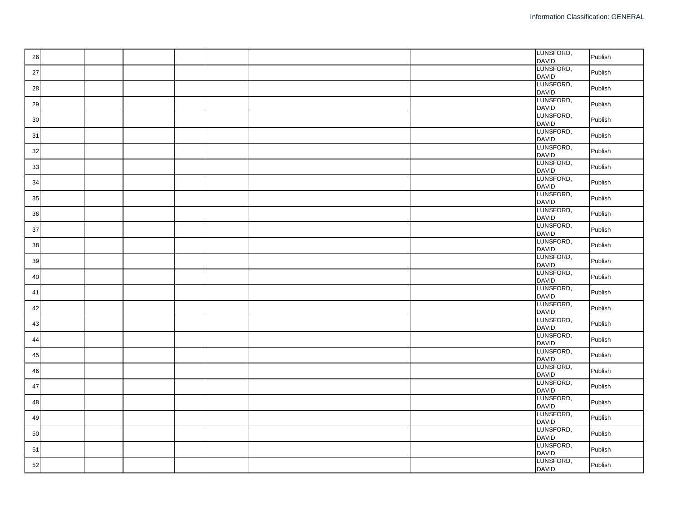| 26 |  |  |  | LUNSFORD,<br><b>DAVID</b> | Publish |
|----|--|--|--|---------------------------|---------|
| 27 |  |  |  | LUNSFORD,<br><b>DAVID</b> | Publish |
| 28 |  |  |  | LUNSFORD,<br><b>DAVID</b> | Publish |
| 29 |  |  |  | LUNSFORD,<br><b>DAVID</b> | Publish |
| 30 |  |  |  | LUNSFORD,<br><b>DAVID</b> | Publish |
| 31 |  |  |  | LUNSFORD,<br><b>DAVID</b> | Publish |
| 32 |  |  |  | LUNSFORD,<br><b>DAVID</b> | Publish |
| 33 |  |  |  | LUNSFORD,<br><b>DAVID</b> | Publish |
| 34 |  |  |  | LUNSFORD,<br><b>DAVID</b> | Publish |
| 35 |  |  |  | LUNSFORD,<br><b>DAVID</b> | Publish |
| 36 |  |  |  | LUNSFORD,<br><b>DAVID</b> | Publish |
| 37 |  |  |  | LUNSFORD,<br><b>DAVID</b> | Publish |
| 38 |  |  |  | LUNSFORD,<br><b>DAVID</b> | Publish |
| 39 |  |  |  | LUNSFORD,<br><b>DAVID</b> | Publish |
| 40 |  |  |  | LUNSFORD,<br><b>DAVID</b> | Publish |
| 41 |  |  |  | LUNSFORD,<br><b>DAVID</b> | Publish |
| 42 |  |  |  | LUNSFORD,<br><b>DAVID</b> | Publish |
| 43 |  |  |  | LUNSFORD,<br><b>DAVID</b> | Publish |
| 44 |  |  |  | LUNSFORD,<br><b>DAVID</b> | Publish |
| 45 |  |  |  | LUNSFORD,<br><b>DAVID</b> | Publish |
| 46 |  |  |  | LUNSFORD,<br><b>DAVID</b> | Publish |
| 47 |  |  |  | LUNSFORD,<br><b>DAVID</b> | Publish |
| 48 |  |  |  | LUNSFORD,<br><b>DAVID</b> | Publish |
| 49 |  |  |  | LUNSFORD,<br><b>DAVID</b> | Publish |
| 50 |  |  |  | LUNSFORD,<br><b>DAVID</b> | Publish |
| 51 |  |  |  | LUNSFORD,<br><b>DAVID</b> | Publish |
| 52 |  |  |  | LUNSFORD,<br><b>DAVID</b> | Publish |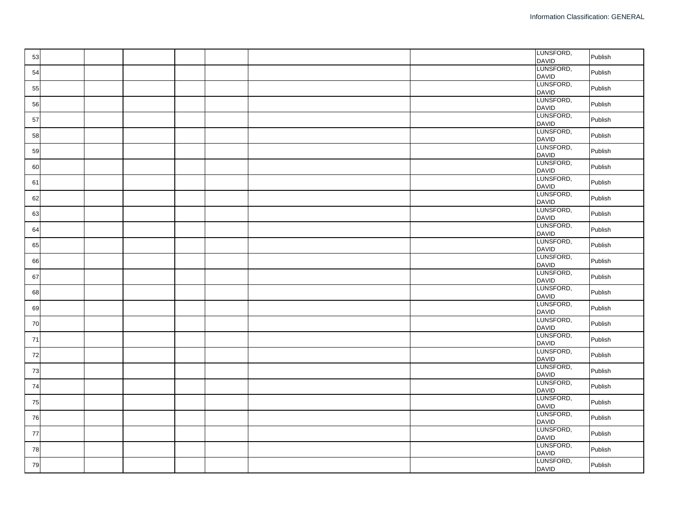| 53 |  |  |  | LUNSFORD,<br><b>DAVID</b>                 | Publish |
|----|--|--|--|-------------------------------------------|---------|
| 54 |  |  |  | LUNSFORD,<br><b>DAVID</b>                 | Publish |
| 55 |  |  |  | LUNSFORD,<br><b>DAVID</b>                 | Publish |
| 56 |  |  |  | LUNSFORD,<br><b>DAVID</b>                 | Publish |
| 57 |  |  |  | LUNSFORD,<br><b>DAVID</b>                 | Publish |
| 58 |  |  |  | LUNSFORD,<br><b>DAVID</b>                 | Publish |
| 59 |  |  |  | LUNSFORD,<br><b>DAVID</b>                 | Publish |
| 60 |  |  |  | LUNSFORD,<br><b>DAVID</b>                 | Publish |
| 61 |  |  |  | LUNSFORD,<br><b>DAVID</b>                 | Publish |
| 62 |  |  |  | LUNSFORD,<br><b>DAVID</b>                 | Publish |
| 63 |  |  |  | LUNSFORD,<br><b>DAVID</b>                 | Publish |
| 64 |  |  |  | LUNSFORD,<br><b>DAVID</b>                 | Publish |
| 65 |  |  |  | LUNSFORD,<br><b>DAVID</b>                 | Publish |
| 66 |  |  |  | LUNSFORD,<br><b>DAVID</b>                 | Publish |
| 67 |  |  |  | LUNSFORD,<br><b>DAVID</b>                 | Publish |
| 68 |  |  |  | LUNSFORD,<br><b>DAVID</b>                 | Publish |
| 69 |  |  |  | LUNSFORD,<br><b>DAVID</b>                 | Publish |
| 70 |  |  |  | LUNSFORD,                                 | Publish |
| 71 |  |  |  | <b>DAVID</b><br>LUNSFORD,<br><b>DAVID</b> | Publish |
| 72 |  |  |  | LUNSFORD,                                 | Publish |
| 73 |  |  |  | <b>DAVID</b><br>LUNSFORD,                 | Publish |
| 74 |  |  |  | <b>DAVID</b><br>LUNSFORD,<br><b>DAVID</b> | Publish |
| 75 |  |  |  | LUNSFORD,                                 | Publish |
| 76 |  |  |  | <b>DAVID</b><br>LUNSFORD,                 | Publish |
| 77 |  |  |  | <b>DAVID</b><br>LUNSFORD,                 | Publish |
| 78 |  |  |  | <b>DAVID</b><br>LUNSFORD,                 | Publish |
| 79 |  |  |  | <b>DAVID</b><br>LUNSFORD,                 | Publish |
|    |  |  |  | <b>DAVID</b>                              |         |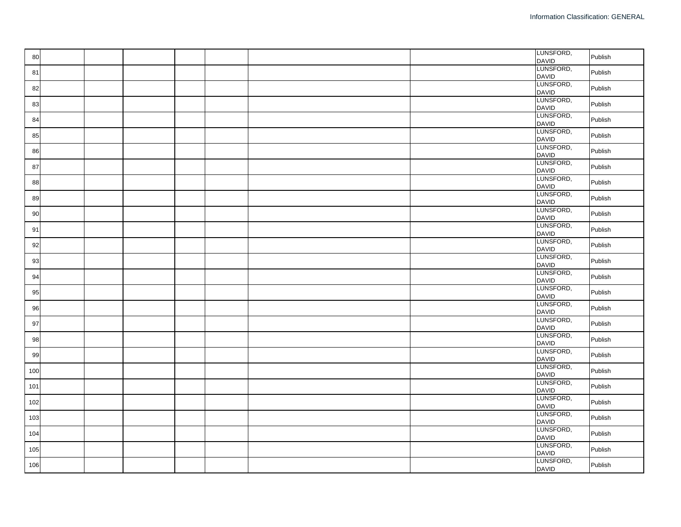| 80  |  |  |  | LUNSFORD,<br><b>DAVID</b> | Publish |
|-----|--|--|--|---------------------------|---------|
| 81  |  |  |  | LUNSFORD,<br><b>DAVID</b> | Publish |
| 82  |  |  |  | LUNSFORD,<br><b>DAVID</b> | Publish |
| 83  |  |  |  | LUNSFORD,<br><b>DAVID</b> | Publish |
| 84  |  |  |  | LUNSFORD,<br><b>DAVID</b> | Publish |
| 85  |  |  |  | LUNSFORD,<br><b>DAVID</b> | Publish |
| 86  |  |  |  | LUNSFORD,<br><b>DAVID</b> | Publish |
| 87  |  |  |  | LUNSFORD,<br><b>DAVID</b> | Publish |
| 88  |  |  |  | LUNSFORD,<br><b>DAVID</b> | Publish |
| 89  |  |  |  | LUNSFORD,<br><b>DAVID</b> | Publish |
| 90  |  |  |  | LUNSFORD,<br><b>DAVID</b> | Publish |
| 91  |  |  |  | LUNSFORD,<br><b>DAVID</b> | Publish |
| 92  |  |  |  | LUNSFORD,<br><b>DAVID</b> | Publish |
| 93  |  |  |  | LUNSFORD,<br><b>DAVID</b> | Publish |
| 94  |  |  |  | LUNSFORD,<br><b>DAVID</b> | Publish |
| 95  |  |  |  | LUNSFORD,<br><b>DAVID</b> | Publish |
| 96  |  |  |  | LUNSFORD,<br><b>DAVID</b> | Publish |
| 97  |  |  |  | LUNSFORD,<br><b>DAVID</b> | Publish |
| 98  |  |  |  | LUNSFORD,<br><b>DAVID</b> | Publish |
| 99  |  |  |  | LUNSFORD,<br><b>DAVID</b> | Publish |
| 100 |  |  |  | LUNSFORD,<br><b>DAVID</b> | Publish |
| 101 |  |  |  | LUNSFORD,<br><b>DAVID</b> | Publish |
| 102 |  |  |  | LUNSFORD,<br><b>DAVID</b> | Publish |
| 103 |  |  |  | LUNSFORD,<br><b>DAVID</b> | Publish |
| 104 |  |  |  | LUNSFORD,<br><b>DAVID</b> | Publish |
| 105 |  |  |  | LUNSFORD,<br><b>DAVID</b> | Publish |
| 106 |  |  |  | LUNSFORD,<br><b>DAVID</b> | Publish |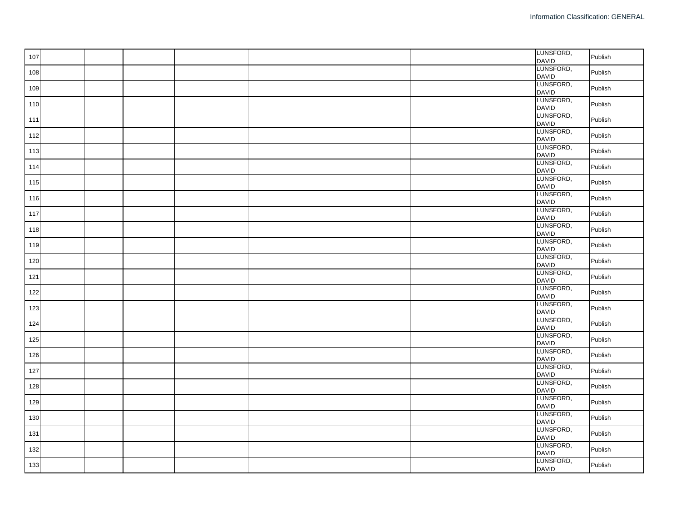| 107 |  |  |  | LUNSFORD,<br><b>DAVID</b> | Publish |
|-----|--|--|--|---------------------------|---------|
| 108 |  |  |  | LUNSFORD,<br><b>DAVID</b> | Publish |
| 109 |  |  |  | LUNSFORD,<br><b>DAVID</b> | Publish |
| 110 |  |  |  | LUNSFORD,<br><b>DAVID</b> | Publish |
| 111 |  |  |  | LUNSFORD,<br><b>DAVID</b> | Publish |
| 112 |  |  |  | LUNSFORD,<br><b>DAVID</b> | Publish |
| 113 |  |  |  | LUNSFORD,<br><b>DAVID</b> | Publish |
| 114 |  |  |  | LUNSFORD,<br><b>DAVID</b> | Publish |
| 115 |  |  |  | LUNSFORD,<br><b>DAVID</b> | Publish |
| 116 |  |  |  | LUNSFORD,<br><b>DAVID</b> | Publish |
| 117 |  |  |  | LUNSFORD,<br><b>DAVID</b> | Publish |
| 118 |  |  |  | LUNSFORD,<br><b>DAVID</b> | Publish |
| 119 |  |  |  | LUNSFORD,<br><b>DAVID</b> | Publish |
| 120 |  |  |  | LUNSFORD,<br><b>DAVID</b> | Publish |
| 121 |  |  |  | LUNSFORD,<br><b>DAVID</b> | Publish |
| 122 |  |  |  | LUNSFORD,<br><b>DAVID</b> | Publish |
| 123 |  |  |  | LUNSFORD,<br><b>DAVID</b> | Publish |
| 124 |  |  |  | LUNSFORD,<br><b>DAVID</b> | Publish |
| 125 |  |  |  | LUNSFORD,<br><b>DAVID</b> | Publish |
| 126 |  |  |  | LUNSFORD,<br><b>DAVID</b> | Publish |
| 127 |  |  |  | LUNSFORD,<br><b>DAVID</b> | Publish |
| 128 |  |  |  | LUNSFORD,<br><b>DAVID</b> | Publish |
| 129 |  |  |  | LUNSFORD,<br><b>DAVID</b> | Publish |
| 130 |  |  |  | LUNSFORD,<br><b>DAVID</b> | Publish |
| 131 |  |  |  | LUNSFORD,<br><b>DAVID</b> | Publish |
| 132 |  |  |  | LUNSFORD,<br><b>DAVID</b> | Publish |
| 133 |  |  |  | LUNSFORD,<br><b>DAVID</b> | Publish |